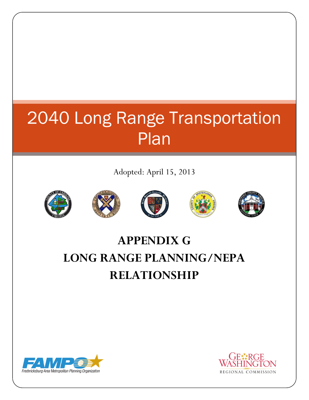# 2040 Long Range Transportation Plan

Adopted: April 15, 2013











## **APPENDIX G LONG RANGE PLANNING/NEPA RELATIONSHIP**



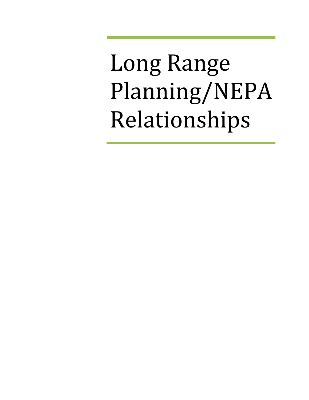Long Range Planning/NEPA Relationships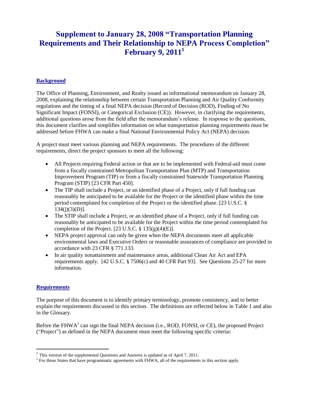### **Supplement to January 28, 2008 "Transportation Planning Requirements and Their Relationship to NEPA Process Completion" February 9, 2011<sup>1</sup>**

#### **Background**

The Office of Planning, Environment, and Realty issued an informational memorandum on January 28, 2008, explaining the relationship between certain Transportation Planning and Air Quality Conformity regulations and the timing of a final NEPA decision (Record of Decision (ROD), Finding of No Significant Impact (FONSI), or Categorical Exclusion (CE)). However, in clarifying the requirements, additional questions arose from the field after the memorandum's release. In response to the questions, this document clarifies and simplifies information on what transportation planning requirements must be addressed before FHWA can make a final National Environmental Policy Act (NEPA) decision.

A project must meet various planning and NEPA requirements. The procedures of the different requirements, direct the project sponsors to meet all the following:

- All Projects requiring Federal action or that are to be implemented with Federal-aid must come from a fiscally constrained Metropolitan Transportation Plan (MTP) and Transportation Improvement Program (TIP) or from a fiscally constrained Statewide Transportation Planning Program (STIP) [23 CFR Part 450].
- The TIP shall include a Project, or an identified phase of a Project, only if full funding can reasonably be anticipated to be available for the Project or the identified phase within the time period contemplated for completion of the Project or the identified phase. [23 U.S.C. §  $134(j)(3)(D)$ ].
- The STIP shall include a Project, or an identified phase of a Project, only if full funding can reasonably be anticipated to be available for the Project within the time period contemplated for completion of the Project.  $[23 \text{ U.S.C.} \$ 135(g)(4)(E)].$
- NEPA project approval can only be given when the NEPA documents meet all applicable environmental laws and Executive Orders or reasonable assurances of compliance are provided in accordance with 23 CFR § 771.133.
- In air quality nonattainment and maintenance areas, additional Clean Air Act and EPA requirements apply. [42 U.S.C. § 7506(c) and 40 CFR Part 93]. See Questions 25-27 for more information.

#### **Requirements**

 $\overline{a}$ 

The purpose of this document is to identify primary terminology, promote consistency, and to better explain the requirements discussed in this section. The definitions are reflected below in Table 1 and also in the Glossary.

Before the  $FHWA<sup>2</sup>$  can sign the final NEPA decision (i.e., ROD, FONSI, or CE), the proposed Project ("Project") as defined in the NEPA document must meet the following specific criteria**:**

<sup>&</sup>lt;sup>1</sup> This version of the supplemental Questions and Answers is updated as of April 7, 2011.

<sup>&</sup>lt;sup>2</sup> For those States that have programmatic agreements with FHWA, all of the requirements in this section apply.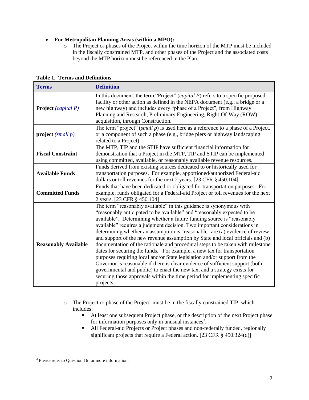#### **For Metropolitan Planning Areas (within a MPO):**

o The Project or phases of the Project within the time horizon of the MTP must be included in the fiscally constrained MTP, and other phases of the Project and the associated costs beyond the MTP horizon must be referenced in the Plan.

| <b>Terms</b>                | <b>Definition</b>                                                                                                                                                                                                                                                                                                                                                                                                                                                                                                                                                                                                                                                                                                                                                                                                                                                                                                                                                       |  |  |
|-----------------------------|-------------------------------------------------------------------------------------------------------------------------------------------------------------------------------------------------------------------------------------------------------------------------------------------------------------------------------------------------------------------------------------------------------------------------------------------------------------------------------------------------------------------------------------------------------------------------------------------------------------------------------------------------------------------------------------------------------------------------------------------------------------------------------------------------------------------------------------------------------------------------------------------------------------------------------------------------------------------------|--|--|
| <b>Project</b> (capital P)  | In this document, the term "Project" ( <i>capital P</i> ) refers to a specific proposed<br>facility or other action as defined in the NEPA document (e.g., a bridge or a<br>new highway) and includes every "phase of a Project", from Highway<br>Planning and Research, Preliminary Engineering, Right-Of-Way (ROW)<br>acquisition, through Construction.                                                                                                                                                                                                                                                                                                                                                                                                                                                                                                                                                                                                              |  |  |
| project $(small p)$         | The term "project" (small $p$ ) is used here as a reference to a phase of a Project,<br>or a component of such a phase (e.g., bridge piers or highway landscaping<br>related to a Project).                                                                                                                                                                                                                                                                                                                                                                                                                                                                                                                                                                                                                                                                                                                                                                             |  |  |
| <b>Fiscal Constraint</b>    | The MTP, TIP and the STIP have sufficient financial information for<br>demonstration that a Project in the MTP, TIP and STIP can be implemented<br>using committed, available, or reasonably available revenue resources.                                                                                                                                                                                                                                                                                                                                                                                                                                                                                                                                                                                                                                                                                                                                               |  |  |
| <b>Available Funds</b>      | Funds derived from existing sources dedicated to or historically used for<br>transportation purposes. For example, apportioned/authorized Federal-aid<br>dollars or toll revenues for the next 2 years. [23 CFR § 450.104]                                                                                                                                                                                                                                                                                                                                                                                                                                                                                                                                                                                                                                                                                                                                              |  |  |
| <b>Committed Funds</b>      | Funds that have been dedicated or obligated for transportation purposes. For<br>example, funds obligated for a Federal-aid Project or toll revenues for the next<br>2 years. [23 CFR § 450.104]                                                                                                                                                                                                                                                                                                                                                                                                                                                                                                                                                                                                                                                                                                                                                                         |  |  |
| <b>Reasonably Available</b> | The term "reasonably available" in this guidance is synonymous with<br>"reasonably anticipated to be available" and "reasonably expected to be<br>available". Determining whether a future funding source is "reasonably<br>available" requires a judgment decision. Two important considerations in<br>determining whether an assumption is "reasonable" are (a) evidence of review<br>and support of the new revenue assumption by State and local officials and (b)<br>documentation of the rationale and procedural steps to be taken with milestone<br>dates for securing the funds. For example, a new tax for transportation<br>purposes requiring local and/or State legislation and/or support from the<br>Governor is reasonable if there is clear evidence of sufficient support (both<br>governmental and public) to enact the new tax, and a strategy exists for<br>securing those approvals within the time period for implementing specific<br>projects. |  |  |

**Table 1. Terms and Definitions**

- o The Project or phase of the Project must be in the fiscally constrained TIP, which includes:
	- At least one subsequent Project phase, or the description of the next Project phase for information purposes only in unusual instances<sup>3</sup>.
	- All Federal-aid Projects or Project phases and non-federally funded, regionally significant projects that require a Federal action. [23 CFR § 450.324(d)]

 $\overline{a}$ <sup>3</sup> Please refer to Question 16 for more information.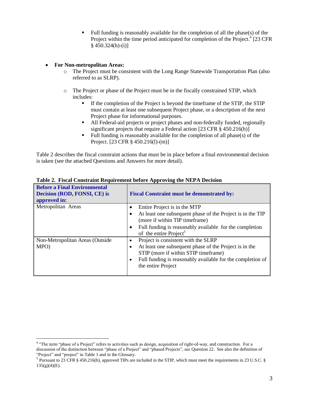Full funding is reasonably available for the completion of all the phase(s) of the Project within the time period anticipated for completion of the Project.<sup>4</sup> [23 CFR  $§$  450.324(h)-(i)]

#### **For Non-metropolitan Areas:**

- o The Project must be consistent with the Long Range Statewide Transportation Plan (also referred to as SLRP).
- o The Project or phase of the Project must be in the fiscally constrained STIP, which includes:
	- If the completion of the Project is beyond the timeframe of the STIP, the STIP must contain at least one subsequent Project phase, or a description of the next Project phase for informational purposes.
	- All Federal-aid projects or project phases and non-federally funded, regionally significant projects that require a Federal action [23 CFR § 450.216(h)]
	- Full funding is reasonably available for the completion of all phase(s) of the Project. [23 CFR § 450.216(l)-(m)]

Table 2 describes the fiscal constraint actions that must be in place before a final environmental decision is taken (see the attached Questions and Answers for more detail).

| <b>Before a Final Environmental</b><br>Decision (ROD, FONSI, CE) is<br>approved in: | <b>Fiscal Constraint must be demonstrated by:</b>                                             |  |  |
|-------------------------------------------------------------------------------------|-----------------------------------------------------------------------------------------------|--|--|
| Metropolitan Areas                                                                  | Entire Project is in the MTP<br>At least one subsequent phase of the Project is in the TIP    |  |  |
|                                                                                     | (more if within TIP timeframe)                                                                |  |  |
|                                                                                     | Full funding is reasonably available for the completion<br>of the entire Project <sup>5</sup> |  |  |
| Non-Metropolitan Areas (Outside                                                     | Project is consistent with the SLRP<br>$\bullet$                                              |  |  |
| MPO)                                                                                | At least one subsequent phase of the Project is in the<br>٠                                   |  |  |
|                                                                                     | STIP (more if within STIP timeframe)                                                          |  |  |
|                                                                                     | Full funding is reasonably available for the completion of<br>٠<br>the entire Project         |  |  |

**Table 2. Fiscal Constraint Requirement before Approving the NEPA Decision**

<sup>&</sup>lt;sup>4</sup> "The term "phase of a Project" refers to activities such as design, acquisition of right-of-way, and construction. For a discussion of the distinction between "phase of a Project" and "phased Projects", see Question 22. See also the definition of "Project" and "project" in Table 1 and in the Glossary.

 $^5$  Pursuant to 23 CFR § 450.216(b), approved TIPs are included in the STIP, which must meet the requirements in 23 U.S.C. §  $135(g)(4)(E)$ .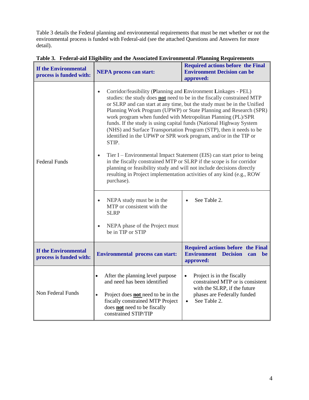Table 3 details the Federal planning and environmental requirements that must be met whether or not the environmental process is funded with Federal-aid (see the attached Questions and Answers for more detail).

| If the Environmental<br>process is funded with: | <b>NEPA</b> process can start:                                                                                                                                                                                                                                                                                                                                                                                                                                                                                                                                                                                                                                                          | <b>Required actions before the Final</b><br><b>Environment Decision can be</b><br>approved:                 |  |  |
|-------------------------------------------------|-----------------------------------------------------------------------------------------------------------------------------------------------------------------------------------------------------------------------------------------------------------------------------------------------------------------------------------------------------------------------------------------------------------------------------------------------------------------------------------------------------------------------------------------------------------------------------------------------------------------------------------------------------------------------------------------|-------------------------------------------------------------------------------------------------------------|--|--|
|                                                 | Corridor/feasibility (Planning and Environment Linkages - PEL)<br>$\bullet$<br>studies: the study does not need to be in the fiscally constrained MTP<br>or SLRP and can start at any time, but the study must be in the Unified<br>Planning Work Program (UPWP) or State Planning and Research (SPR)<br>work program when funded with Metropolitan Planning (PL)/SPR<br>funds. If the study is using capital funds (National Highway System<br>(NHS) and Surface Transportation Program (STP), then it needs to be<br>identified in the UPWP or SPR work program, and/or in the TIP or<br>STIP.<br>Tier I – Environmental Impact Statement (EIS) can start prior to being<br>$\bullet$ |                                                                                                             |  |  |
| <b>Federal Funds</b>                            | in the fiscally constrained MTP or SLRP if the scope is for corridor<br>planning or feasibility study and will not include decisions directly<br>resulting in Project implementation activities of any kind (e.g., ROW<br>purchase).                                                                                                                                                                                                                                                                                                                                                                                                                                                    |                                                                                                             |  |  |
|                                                 | NEPA study must be in the<br>$\bullet$<br>MTP or consistent with the<br><b>SLRP</b>                                                                                                                                                                                                                                                                                                                                                                                                                                                                                                                                                                                                     | See Table 2.<br>$\bullet$                                                                                   |  |  |
|                                                 | NEPA phase of the Project must<br>$\bullet$<br>be in TIP or STIP                                                                                                                                                                                                                                                                                                                                                                                                                                                                                                                                                                                                                        |                                                                                                             |  |  |
| If the Environmental<br>process is funded with: | <b>Environmental process can start:</b>                                                                                                                                                                                                                                                                                                                                                                                                                                                                                                                                                                                                                                                 | Required actions before the Final<br><b>Environment Decision</b><br>can<br>be<br>approved:                  |  |  |
| Non Federal Funds                               | After the planning level purpose<br>$\bullet$<br>and need has been identified                                                                                                                                                                                                                                                                                                                                                                                                                                                                                                                                                                                                           | Project is in the fiscally<br>$\bullet$<br>constrained MTP or is consistent<br>with the SLRP, if the future |  |  |
|                                                 | Project does <b>not</b> need to be in the<br>$\bullet$<br>fiscally constrained MTP Project<br>does not need to be fiscally<br>constrained STIP/TIP                                                                                                                                                                                                                                                                                                                                                                                                                                                                                                                                      | phases are Federally funded<br>See Table 2.<br>$\bullet$                                                    |  |  |

**Table 3. Federal-aid Eligibility and the Associated Environmental /Planning Requirements**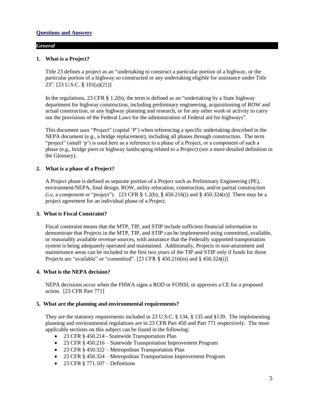#### *General*

#### **1. What is a Project?**

Title 23 defines a project as an "undertaking to construct a particular portion of a highway, or the particular portion of a highway so constructed or any undertaking eligible for assistance under Title 23". [23 U.S.C. § 101(a)(21)]

In the regulations, 23 CFR  $\S$  1.2(b), the term is defined as an "undertaking by a State highway department for highway construction, including preliminary engineering, acquisitioning of ROW and actual construction, or any highway planning and research, or for any other work or activity to carry out the provisions of the Federal Laws for the administration of Federal aid for highways".

This document uses "Project" (capital 'P') when referencing a specific undertaking described in the NEPA document (e.g., a bridge replacement), including all phases through construction. The term "project" (small 'p') is used here as a reference to a phase of a Project, or a component of such a phase (e.g., bridge piers or highway landscaping related to a Project) (*see* a more detailed definition in the Glossary).

#### **2. What is a phase of a Project?**

A Project phase is defined as separate portion of a Project such as Preliminary Engineering (PE), environment/NEPA, final design, ROW, utility relocation, construction, and/or partial construction (i.e, a component or "project"). [23 CFR  $\S 1.2(b)$ ,  $\S 450.216(i)$  and  $\S 450.324(e)$ ] There may be a project agreement for an individual phase of a Project.

#### **3. What is Fiscal Constraint?**

Fiscal constraint means that the MTP, TIP, and STIP include sufficient financial information to demonstrate that Projects in the MTP, TIP, and STIP can be implemented using committed, available, or reasonably available revenue sources, with assurance that the Federally supported transportation system is being adequately operated and maintained. Additionally, Projects in non-attainment and maintenance areas can be included in the first two years of the TIP and STIP only if funds for those Projects are "available" or "committed". [23 CFR  $\S$  450.216(m) and  $\S$  450.324(i)]

#### **4. What is the NEPA decision?**

NEPA decisions occur when the FHWA signs a ROD or FONSI, or approves a CE for a proposed action. [23 CFR Part 771]

#### **5. What are the planning and environmental requirements?**

They are the statutory requirements included in 23 U.S.C. § 134, § 135 and §139. The implementing planning and environmental regulations are in 23 CFR Part 450 and Part 771 respectively. The most applicable sections on this subject can be found in the following:

- 23 CFR § 450.214 Statewide Transportation Plan
- 23 CFR § 450.216 Statewide Transportation Improvement Program
- 23 CFR § 450.322 Metropolitan Transportation Plan
- 23 CFR § 450.324 Metropolitan Transportation Improvement Program
- $\bullet$  23 CFR § 771.107 Definitions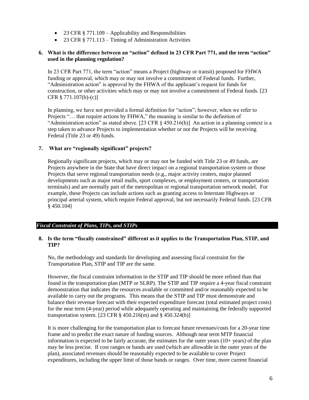- 23 CFR  $§ 771.109 Applicability and Responsibility$
- 23 CFR § 771.113 Timing of Administration Activities

#### **6. What is the difference between an "action" defined in 23 CFR Part 771, and the term "action" used in the planning regulation?**

In 23 CFR Part 771, the term "action" means a Project (highway or transit) proposed for FHWA funding or approval, which may or may not involve a commitment of Federal funds. Further, "Administration action" is approval by the FHWA of the applicant's request for funds for construction, or other activities which may or may not involve a commitment of Federal funds. [23 CFR § 771.107(b)-(c)]

In planning, we have not provided a formal definition for "action"; however, when we refer to Projects "… that require actions by FHWA," the meaning is similar to the definition of "Administration action" as stated above. [23 CFR  $\S$  450.216(h)] An action in a planning context is a step taken to advance Projects to implementation whether or not the Projects will be receiving Federal (Title 23 or 49) funds.

#### **7. What are "regionally significant" projects?**

Regionally significant projects, which may or may not be funded with Title 23 or 49 funds, are Projects anywhere in the State that have direct impact on a regional transportation system or those Projects that serve regional transportation needs (e.g., major activity centers, major planned developments such as major retail malls, sport complexes, or employment centers, or transportation terminals) and are normally part of the metropolitan or regional transportation network model. For example, these Projects can include actions such as granting access to Interstate Highways or principal arterial system, which require Federal approval, but not necessarily Federal funds. [23 CFR § 450.104]

#### *Fiscal Constraint of Plans, TIPs, and STIPs*

#### **8. Is the term "fiscally constrained" different as it applies to the Transportation Plan, STIP, and TIP?**

No, the methodology and standards for developing and assessing fiscal constraint for the Transportation Plan, STIP and TIP are the same.

However, the fiscal constraint information in the STIP and TIP should be more refined than that found in the transportation plan (MTP or SLRP). The STIP and TIP require a 4-year fiscal constraint demonstration that indicates the resources available or committed and/or reasonably expected to be available to carry out the programs. This means that the STIP and TIP must demonstrate and balance their revenue forecast with their expected expenditure forecast (total estimated project costs) for the near term (4-year) period while adequately operating and maintaining the federally supported transportation system. [23 CFR  $\S$  450.216(m) and  $\S$  450.324(h)]

It is more challenging for the transportation plan to forecast future revenues/costs for a 20-year time frame and to predict the exact nature of funding sources. Although near term MTP financial information is expected to be fairly accurate, the estimates for the outer years (10+ years) of the plan may be less precise. If cost ranges or bands are used (which are allowable in the outer years of the plan), associated revenues should be reasonably expected to be available to cover Project expenditures, including the upper limit of those bands or ranges. Over time, more current financial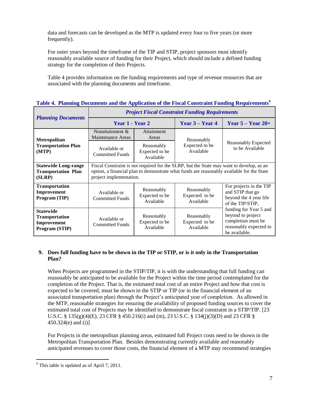data and forecasts can be developed as the MTP is updated every four to five years (or more frequently).

For outer years beyond the timeframe of the TIP and STIP, project sponsors must identify reasonably available source of funding for their Project, which should include a defined funding strategy for the completion of their Projects.

Table 4 provides information on the funding requirements and type of revenue resources that are associated with the planning documents and timeframe.

| тале ¬. танние россинств ана не кррисанон от не гъжа сонзи ани ганане керансинонъ |                                                                                                                                                                                                                  |                                           |                                           |                                                                                                              |  |
|-----------------------------------------------------------------------------------|------------------------------------------------------------------------------------------------------------------------------------------------------------------------------------------------------------------|-------------------------------------------|-------------------------------------------|--------------------------------------------------------------------------------------------------------------|--|
| <b>Planning Documents</b>                                                         | <b>Project Fiscal Constraint Funding Requirements</b>                                                                                                                                                            |                                           |                                           |                                                                                                              |  |
|                                                                                   | Year 1 - Year 2                                                                                                                                                                                                  |                                           | Year $3 - Year 4$                         | Year $5 -$ Year $20+$                                                                                        |  |
| Metropolitan<br><b>Transportation Plan</b><br>(MTP)                               | Nonattainment &<br>Maintenance Areas                                                                                                                                                                             | Attainment<br>Areas                       | Reasonably<br>Expected to be<br>Available | Reasonably Expected<br>to be Available                                                                       |  |
|                                                                                   | Available or<br><b>Committed Funds</b>                                                                                                                                                                           | Reasonably<br>Expected to be<br>Available |                                           |                                                                                                              |  |
| <b>Statewide Long-range</b><br><b>Transportation Plan</b><br>(SLRP)               | Fiscal Constraint is not required for the SLRP, but the State may want to develop, as an<br>option, a financial plan to demonstrate what funds are reasonably available for the State<br>project implementation. |                                           |                                           |                                                                                                              |  |
| <b>Transportation</b><br>Improvement<br>Program (TIP)                             | Available or<br><b>Committed Funds</b>                                                                                                                                                                           | Reasonably<br>Expected to be<br>Available | Reasonably<br>Expected to be<br>Available | For projects in the TIP<br>and STIP that go<br>beyond the 4 year life<br>of the TIP/STIP,                    |  |
| <b>Statewide</b><br><b>Transportation</b><br>Improvement<br>Program (STIP)        | Available or<br><b>Committed Funds</b>                                                                                                                                                                           | Reasonably<br>Expected to be<br>Available | Reasonably<br>Expected to be<br>Available | funding for Year 5 and<br>beyond to project<br>completion must be<br>reasonably expected to<br>be available. |  |

**Table 4. Planning Documents and the Application of the Fiscal Constraint Funding Requirements<sup>6</sup>**

#### **9. Does full funding have to be shown in the TIP or STIP, or is it only in the Transportation Plan?**

When Projects are programmed in the STIP/TIP, it is with the understanding that full funding can reasonably be anticipated to be available for the Project within the time period contemplated for the completion of the Project. That is, the estimated total cost of an entire Project and how that cost is expected to be covered, must be shown in the STIP or TIP (or in the financial element of an associated transportation plan) through the Project's anticipated year of completion. As allowed in the MTP, reasonable strategies for ensuring the availability of proposed funding sources to cover the estimated total cost of Projects may be identified to demonstrate fiscal constraint in a STIP/TIP. [23 U.S.C. § 135(g)(4)(E), 23 CFR § 450.216(i) and (m), 23 U.S.C. § 134(j)(3)(D) and 23 CFR § 450.324(e) and (i)]

For Projects in the metropolitan planning areas, estimated full Project costs need to be shown in the Metropolitan Transportation Plan. Besides demonstrating currently available and reasonably anticipated revenues to cover those costs, the financial element of a MTP may recommend strategies

 $\overline{a}$ 

 $6$  This table is updated as of April 7, 2011.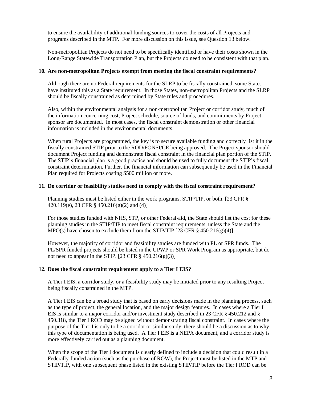to ensure the availability of additional funding sources to cover the costs of all Projects and programs described in the MTP. For more discussion on this issue, see Question 13 below.

Non-metropolitan Projects do not need to be specifically identified or have their costs shown in the Long-Range Statewide Transportation Plan, but the Projects do need to be consistent with that plan.

#### **10. Are non-metropolitan Projects exempt from meeting the fiscal constraint requirements?**

Although there are no Federal requirements for the SLRP to be fiscally constrained, some States have instituted this as a State requirement. In those States, non-metropolitan Projects and the SLRP should be fiscally constrained as determined by State rules and procedures.

Also, within the environmental analysis for a non-metropolitan Project or corridor study, much of the information concerning cost, Project schedule, source of funds, and commitments by Project sponsor are documented. In most cases, the fiscal constraint demonstration or other financial information is included in the environmental documents.

When rural Projects are programmed, the key is to secure available funding and correctly list it in the fiscally constrained STIP prior to the ROD/FONSI/CE being approved. The Project sponsor should document Project funding and demonstrate fiscal constraint in the financial plan portion of the STIP. The STIP's financial plan is a good practice and should be used to fully document the STIP's fiscal constraint determination. Further, the financial information can subsequently be used in the Financial Plan required for Projects costing \$500 million or more.

#### **11. Do corridor or feasibility studies need to comply with the fiscal constraint requirement?**

Planning studies must be listed either in the work programs, STIP/TIP, or both. [23 CFR § 420.119(e), 23 CFR § 450.216(g)(2) and (4)]

For those studies funded with NHS, STP, or other Federal-aid, the State should list the cost for these planning studies in the STIP/TIP to meet fiscal constraint requirements, unless the State and the MPO(s) have chosen to exclude them from the STIP/TIP [23 CFR  $\S$  450.216(g)(4)].

However, the majority of corridor and feasibility studies are funded with PL or SPR funds. The PL/SPR funded projects should be listed in the UPWP or SPR Work Program as appropriate, but do not need to appear in the STIP. [23 CFR  $\S$  450.216(g)(3)]

#### **12. Does the fiscal constraint requirement apply to a Tier I EIS?**

A Tier I EIS, a corridor study, or a feasibility study may be initiated prior to any resulting Project being fiscally constrained in the MTP.

A Tier I EIS can be a broad study that is based on early decisions made in the planning process, such as the type of project, the general location, and the major design features. In cases where a Tier I EIS is similar to a major corridor and/or investment study described in 23 CFR § 450.212 and § 450.318, the Tier I ROD may be signed without demonstrating fiscal constraint. In cases where the purpose of the Tier I is only to be a corridor or similar study, there should be a discussion as to why this type of documentation is being used. A Tier I EIS is a NEPA document, and a corridor study is more effectively carried out as a planning document.

When the scope of the Tier I document is clearly defined to include a decision that could result in a Federally-funded action (such as the purchase of ROW), the Project must be listed in the MTP and STIP/TIP, with one subsequent phase listed in the existing STIP/TIP before the Tier I ROD can be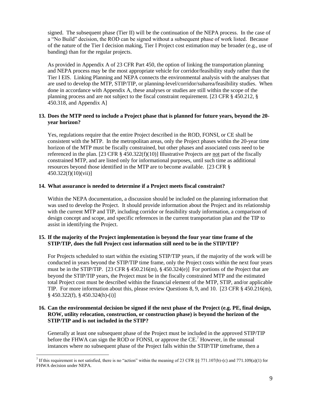signed. The subsequent phase (Tier II) will be the continuation of the NEPA process. In the case of a "No Build" decision, the ROD can be signed without a subsequent phase of work listed. Because of the nature of the Tier I decision making, Tier I Project cost estimation may be broader (e.g., use of banding) than for the regular projects.

As provided in Appendix A of 23 CFR Part 450, the option of linking the transportation planning and NEPA process may be the most appropriate vehicle for corridor/feasibility study rather than the Tier I EIS. Linking Planning and NEPA connects the environmental analysis with the analyses that are used to develop the MTP, STIP/TIP, or planning-level/corridor/subarea/feasibility studies. When done in accordance with Appendix A, these analyses or studies are still within the scope of the planning process and are not subject to the fiscal constraint requirement. [23 CFR § 450.212, § 450.318, and Appendix A]

#### **13. Does the MTP need to include a Project phase that is planned for future years, beyond the 20 year horizon?**

Yes, regulations require that the entire Project described in the ROD, FONSI, or CE shall be consistent with the MTP. In the metropolitan areas, only the Project phases within the 20-year time horizon of the MTP must be fiscally constrained, but other phases and associated costs need to be referenced in the plan. [23 CFR  $\S$  450.322(f)(10)] Illustrative Projects are not part of the fiscally constrained MTP, and are listed only for informational purposes, until such time as additional resources beyond those identified in the MTP are to become available. [23 CFR § 450.322(f)(10)(vii)]

#### **14. What assurance is needed to determine if a Project meets fiscal constraint?**

Within the NEPA documentation, a discussion should be included on the planning information that was used to develop the Project. It should provide information about the Project and its relationship with the current MTP and TIP, including corridor or feasibility study information, a comparison of design concept and scope, and specific references in the current transportation plan and the TIP to assist in identifying the Project.

#### **15. If the majority of the Project implementation is beyond the four year time frame of the STIP/TIP, does the full Project cost information still need to be in the STIP/TIP?**

For Projects scheduled to start within the existing STIP/TIP years, if the majority of the work will be conducted in years beyond the STIP/TIP time frame, only the Project costs within the next four years must be in the STIP/TIP. [23 CFR § 450.216(m), § 450.324(e)] For portions of the Project that are beyond the STIP/TIP years, the Project must be in the fiscally constrained MTP and the estimated total Project cost must be described within the financial element of the MTP, STIP, and/or applicable TIP. For more information about this, please review Questions 8, 9, and 10. [23 CFR § 450.216(m), § 450.322(f), § 450.324(h)-(i)]

#### **16. Can the environmental decision be signed if the next phase of the Project (e.g. PE, final design, ROW, utility relocation, construction, or construction phase) is beyond the horizon of the STIP/TIP and is not included in the STIP?**

Generally at least one subsequent phase of the Project must be included in the approved STIP/TIP before the FHWA can sign the ROD or FONSI, or approve the CE.<sup>7</sup> However, in the unusual instances where no subsequent phase of the Project falls within the STIP/TIP timeframe, then a

 $\overline{a}$ If this requirement is not satisfied, there is no "action" within the meaning of 23 CFR §§ 771.107(b)-(c) and 771.109(a)(1) for FHWA decision under NEPA.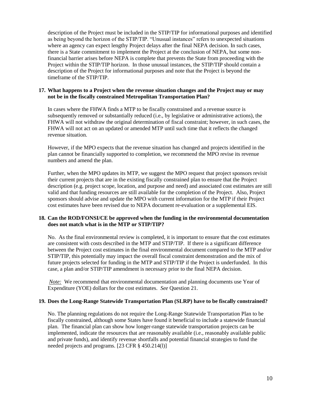description of the Project must be included in the STIP/TIP for informational purposes and identified as being beyond the horizon of the STIP/TIP. "Unusual instances" refers to unexpected situations where an agency can expect lengthy Project delays after the final NEPA decision. In such cases, there is a State commitment to implement the Project at the conclusion of NEPA, but some nonfinancial barrier arises before NEPA is complete that prevents the State from proceeding with the Project within the STIP/TIP horizon. In those unusual instances, the STIP/TIP should contain a description of the Project for informational purposes and note that the Project is beyond the timeframe of the STIP/TIP.

#### **17. What happens to a Project when the revenue situation changes and the Project may or may not be in the fiscally constrained Metropolitan Transportation Plan?**

In cases where the FHWA finds a MTP to be fiscally constrained and a revenue source is subsequently removed or substantially reduced (i.e., by legislative or administrative actions), the FHWA will not withdraw the original determination of fiscal constraint; however, in such cases, the FHWA will not act on an updated or amended MTP until such time that it reflects the changed revenue situation.

However, if the MPO expects that the revenue situation has changed and projects identified in the plan cannot be financially supported to completion, we recommend the MPO revise its revenue numbers and amend the plan.

Further, when the MPO updates its MTP, we suggest the MPO request that project sponsors revisit their current projects that are in the existing fiscally constrained plan to ensure that the Project description (e.g. project scope, location, and purpose and need) and associated cost estimates are still valid and that funding resources are still available for the completion of the Project. Also, Project sponsors should advise and update the MPO with current information for the MTP if their Project cost estimates have been revised due to NEPA document re-evaluation or a supplemental EIS.

#### **18. Can the ROD/FONSI/CE be approved when the funding in the environmental documentation does not match what is in the MTP or STIP/TIP?**

No. As the final environmental review is completed, it is important to ensure that the cost estimates are consistent with costs described in the MTP and STIP/TIP. If there is a significant difference between the Project cost estimates in the final environmental document compared to the MTP and/or STIP/TIP, this potentially may impact the overall fiscal constraint demonstration and the mix of future projects selected for funding in the MTP and STIP/TIP if the Project is underfunded. In this case, a plan and/or STIP/TIP amendment is necessary prior to the final NEPA decision.

*Note:* We recommend that environmental documentation and planning documents use Year of Expenditure (YOE) dollars for the cost estimates. *See* Question 21.

#### **19. Does the Long-Range Statewide Transportation Plan (SLRP) have to be fiscally constrained?**

No. The planning regulations do not require the Long-Range Statewide Transportation Plan to be fiscally constrained, although some States have found it beneficial to include a statewide financial plan. The financial plan can show how longer-range statewide transportation projects can be implemented, indicate the resources that are reasonably available (i.e., reasonably available public and private funds), and identify revenue shortfalls and potential financial strategies to fund the needed projects and programs. [23 CFR § 450.214(l)]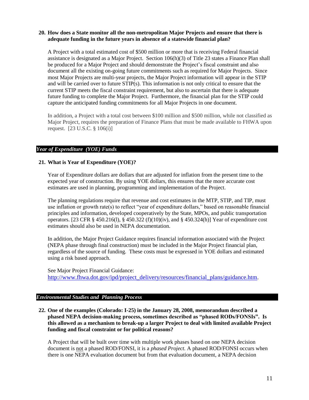#### **20. How does a State monitor all the non-metropolitan Major Projects and ensure that there is adequate funding in the future years in absence of a statewide financial plan?**

A Project with a total estimated cost of \$500 million or more that is receiving Federal financial assistance is designated as a Major Project. Section 106(h)(3) of Title 23 states a Finance Plan shall be produced for a Major Project and should demonstrate the Project's fiscal constraint and also document all the existing on-going future commitments such as required for Major Projects. Since most Major Projects are multi-year projects, the Major Project information will appear in the STIP and will be carried over to future STIP(s). This information is not only critical to ensure that the current STIP meets the fiscal constraint requirement, but also to ascertain that there is adequate future funding to complete the Major Project. Furthermore, the financial plan for the STIP could capture the anticipated funding commitments for all Major Projects in one document.

In addition, a Project with a total cost between \$100 million and \$500 million, while not classified as Major Project, requires the preparation of Finance Plans that must be made available to FHWA upon request. [23 U.S.C. § 106(i)]

#### *Year of Expenditure (YOE) Funds*

#### **21. What is Year of Expenditure (YOE)?**

Year of Expenditure dollars are dollars that are adjusted for inflation from the present time to the expected year of construction. By using YOE dollars, this ensures that the more accurate cost estimates are used in planning, programming and implementation of the Project.

The planning regulations require that revenue and cost estimates in the MTP, STIP, and TIP, must use inflation or growth rate(s) to reflect "year of expenditure dollars," based on reasonable financial principles and information, developed cooperatively by the State, MPOs, and public transportation operators. [23 CFR § 450.216(l), § 450.322 (f)(10)(iv), and § 450.324(h)] Year of expenditure cost estimates should also be used in NEPA documentation.

In addition, the Major Project Guidance requires financial information associated with the Project (NEPA phase through final construction) must be included in the Major Project financial plan, regardless of the source of funding. These costs must be expressed in YOE dollars and estimated using a risk based approach.

See Major Project Financial Guidance: [http://www.fhwa.dot.gov/ipd/project\\_delivery/resources/financial\\_plans/guidance.htm.](http://www.fhwa.dot.gov/ipd/project_delivery/resources/financial_plans/guidance.htm)

#### *Environmental Studies and Planning Process*

**22. One of the examples (Colorado: I-25) in the January 28, 2008, memorandum described a phased NEPA decision-making process, sometimes described as "phased RODs/FONSIs". Is this allowed as a mechanism to break-up a larger Project to deal with limited available Project funding and fiscal constraint or for political reasons?**

A Project that will be built over time with multiple work phases based on one NEPA decision document is not a phased ROD/FONSI, it is a *phased Project.* A phased ROD/FONSI occurs when there is one NEPA evaluation document but from that evaluation document, a NEPA decision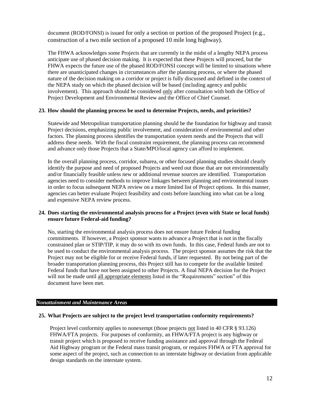document (ROD/FONSI) is issued for only a section or portion of the proposed Project (e.g., construction of a two mile section of a proposed 10 mile long highway).

The FHWA acknowledges some Projects that are currently in the midst of a lengthy NEPA process anticipate use of phased decision making. It is expected that these Projects will proceed, but the FHWA expects the future use of the phased ROD/FONSI concept will be limited to situations where there are unanticipated changes in circumstances after the planning process, or where the phased nature of the decision making on a corridor or project is fully discussed and defined in the context of the NEPA study on which the phased decision will be based (including agency and public involvement). This approach should be considered only after consultation with both the Office of Project Development and Environmental Review and the Office of Chief Counsel.

#### **23. How should the planning process be used to determine Projects, needs, and priorities?**

Statewide and Metropolitan transportation planning should be the foundation for highway and transit Project decisions, emphasizing public involvement, and consideration of environmental and other factors. The planning process identifies the transportation system needs and the Projects that will address these needs. With the fiscal constraint requirement, the planning process can recommend and advance only those Projects that a State/MPO/local agency can afford to implement.

In the overall planning process, corridor, subarea, or other focused planning studies should clearly identify the purpose and need of proposed Projects and weed out those that are not environmentally and/or financially feasible unless new or additional revenue sources are identified. Transportation agencies need to consider methods to improve linkages between planning and environmental issues in order to focus subsequent NEPA review on a more limited list of Project options. In this manner, agencies can better evaluate Project feasibility and costs before launching into what can be a long and expensive NEPA review process.

#### **24. Does starting the environmental analysis process for a Project (even with State or local funds) ensure future Federal-aid funding?**

No, starting the environmental analysis process does not ensure future Federal funding commitments. If however, a Project sponsor wants to advance a Project that is not in the fiscally constrained plan or STIP/TIP, it may do so with its own funds. In this case, Federal funds are not to be used to conduct the environmental analysis process. The project sponsor assumes the risk that the Project may not be eligible for or receive Federal funds, if later requested. By not being part of the broader transportation planning process, this Project still has to compete for the available limited Federal funds that have not been assigned to other Projects. A final NEPA decision for the Project will not be made until all appropriate elements listed in the "Requirements" section" of this document have been met.

#### *Nonattainment and Maintenance Areas*

#### **25. What Projects are subject to the project level transportation conformity requirements?**

Project level conformity applies to nonexempt (those projects not listed in 40 CFR § 93.126) FHWA/FTA projects. For purposes of conformity, an FHWA/FTA project is any highway or transit project which is proposed to receive funding assistance and approval through the Federal Aid Highway program or the Federal mass transit program, or requires FHWA or FTA approval for some aspect of the project, such as connection to an interstate highway or deviation from applicable design standards on the interstate system.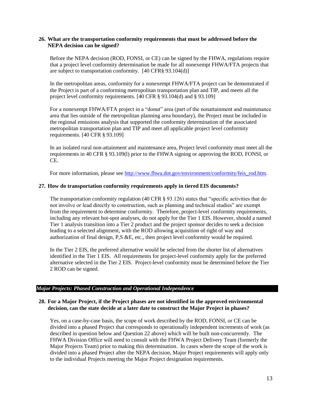#### **26. What are the transportation conformity requirements that must be addressed before the NEPA decision can be signed?**

Before the NEPA decision (ROD, FONSI, or CE) can be signed by the FHWA, regulations require that a project level conformity determination be made for all nonexempt FHWA/FTA projects that are subject to transportation conformity. [40 CFR§ 93.104(d)]

In the metropolitan areas, conformity for a nonexempt FHWA/FTA project can be demonstrated if the Project is part of a conforming metropolitan transportation plan and TIP, and meets all the project level conformity requirements. [40 CFR § 93.104(d) and § 93.109]

For a nonexempt FHWA/FTA project in a "donut" area (part of the nonattainment and maintenance area that lies outside of the metropolitan planning area boundary), the Project must be included in the regional emissions analysis that supported the conformity determination of the associated metropolitan transportation plan and TIP and meet all applicable project level conformity requirements. [40 CFR § 93.109]

In an isolated rural non-attainment and maintenance area, Project level conformity must meet all the requirements in 40 CFR § 93.109(l) prior to the FHWA signing or approving the ROD, FONSI, or CE.

For more information, please see [http://www.fhwa.dot.gov/environment/conformity/feis\\_rod.htm.](http://www.fhwa.dot.gov/environment/conformity/feis_rod.htm)

#### **27. How do transportation conformity requirements apply in tiered EIS documents?**

The transportation conformity regulation (40 CFR § 93.126) states that "specific activities that do not involve or lead directly to construction, such as planning and technical studies" are exempt from the requirement to determine conformity. Therefore, project-level conformity requirements, including any relevant hot-spot analyses, do not apply for the Tier 1 EIS. However, should a named Tier 1 analysis transition into a Tier 2 product and the project sponsor decides to seek a decision leading to a selected alignment, with the ROD allowing acquisition of right of way and authorization of final design, P,S &E, etc., then project level conformity would be required.

In the Tier 2 EIS, the preferred alternative would be selected from the shorter list of alternatives identified in the Tier 1 EIS. All requirements for project-level conformity apply for the preferred alternative selected in the Tier 2 EIS. Project-level conformity must be determined before the Tier 2 ROD can be signed.

#### *Major Projects: Phased Construction and Operational Independence*

#### **28. For a Major Project, if the Project phases are not identified in the approved environmental decision, can the state decide at a later date to construct the Major Project in phases?**

Yes, on a case-by-case basis, the scope of work described by the ROD, FONSI, or CE can be divided into a phased Project that corresponds to operationally independent increments of work (as described in question below and Question 22 above) which will be built non-concurrently. The FHWA Division Office will need to consult with the FHWA Project Delivery Team (formerly the Major Projects Team) prior to making this determination. In cases where the scope of the work is divided into a phased Project after the NEPA decision, Major Project requirements will apply only to the individual Projects meeting the Major Project designation requirements.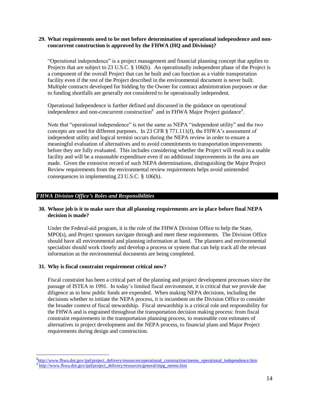#### **29. What requirements need to be met before determination of operational independence and nonconcurrent construction is approved by the FHWA (HQ and Division)?**

"Operational independence" is a project management and financial planning concept that applies to Projects that are subject to 23 U.S.C. § 106(h). An operationally independent phase of the Project is a component of the overall Project that can be built and can function as a viable transportation facility even if the rest of the Project described in the environmental document is never built. Multiple contracts developed for bidding by the Owner for contract administration purposes or due to funding shortfalls are generally not considered to be operationally independent.

Operational Independence is further defined and discussed in the guidance on operational independence and non-concurrent construction<sup>8</sup> and in FHWA Major Project guidance<sup>9</sup>.

Note that "operational independence" is not the same as NEPA "independent utility" and the two concepts are used for different purposes. In 23 CFR § 771.111(f), the FHWA's assessment of independent utility and logical termini occurs during the NEPA review in order to ensure a meaningful evaluation of alternatives and to avoid commitments to transportation improvements before they are fully evaluated. This includes considering whether the Project will result in a usable facility and will be a reasonable expenditure even if no additional improvements in the area are made. Given the extensive record of such NEPA determinations, distinguishing the Major Project Review requirements from the environmental review requirements helps avoid unintended consequences in implementing 23 U.S.C. § 106(h).

#### *FHWA Division Office's Roles and Responsibilities*

#### **30. Whose job is it to make sure that all planning requirements are in place before final NEPA decision is made?**

Under the Federal-aid program, it is the role of the FHWA Division Office to help the State, MPO(s), and Project sponsors navigate through and meet these requirements. The Division Office should have all environmental and planning information at hand. The planners and environmental specialists should work closely and develop a process or system that can help track all the relevant information as the environmental documents are being completed.

#### **31. Why is fiscal constraint requirement critical now?**

 $\overline{a}$ 

Fiscal constraint has been a critical part of the planning and project development processes since the passage of ISTEA in 1991. In today's limited fiscal environment, it is critical that we provide due diligence as to how public funds are expended. When making NEPA decisions, including the decisions whether to initiate the NEPA process, it is incumbent on the Division Office to consider the broader context of fiscal stewardship. Fiscal stewardship is a critical role and responsibility for the FHWA and is engrained throughout the transportation decision making process: from fiscal constraint requirements in the transportation planning process, to reasonable cost estimates of alternatives in project development and the NEPA process, to financial plans and Major Project requirements during design and construction.

<sup>&</sup>lt;sup>8</sup>[http://www.fhwa.dot.gov/ipd/project\\_delivery/resources/operational\\_construction/memo\\_operational\\_independence.htm](http://www.fhwa.dot.gov/ipd/project_delivery/resources/operational_construction/memo_operational_independence.htm) <sup>9</sup> [http://www.fhwa.dot.gov/ipd/project\\_delivery/resources/general/mpg\\_memo.htm](http://www.fhwa.dot.gov/ipd/project_delivery/resources/general/mpg_memo.htm)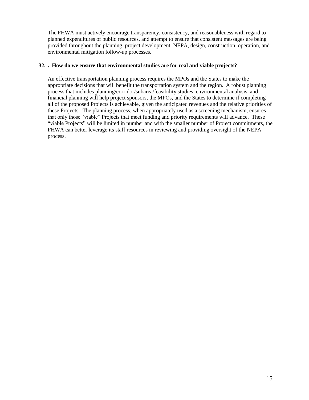The FHWA must actively encourage transparency, consistency, and reasonableness with regard to planned expenditures of public resources, and attempt to ensure that consistent messages are being provided throughout the planning, project development, NEPA, design, construction, operation, and environmental mitigation follow-up processes.

#### **32. . How do we ensure that environmental studies are for real and viable projects?**

An effective transportation planning process requires the MPOs and the States to make the appropriate decisions that will benefit the transportation system and the region. A robust planning process that includes planning/corridor/subarea/feasibility studies, environmental analysis, and financial planning will help project sponsors, the MPOs, and the States to determine if completing all of the proposed Projects is achievable, given the anticipated revenues and the relative priorities of these Projects. The planning process, when appropriately used as a screening mechanism, ensures that only those "viable" Projects that meet funding and priority requirements will advance. These "viable Projects" will be limited in number and with the smaller number of Project commitments, the FHWA can better leverage its staff resources in reviewing and providing oversight of the NEPA process.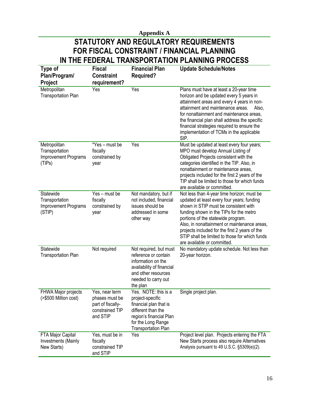## **Appendix A STATUTORY AND REGULATORY REQUIREMENTS FOR FISCAL CONSTRAINT / FINANCIAL PLANNING IN THE FEDERAL TRANSPORTATION PLANNING PROCESS**

| Type of<br>Plan/Program/                                         | <b>Fiscal</b><br><b>Constraint</b>                                                   | <b>Financial Plan</b><br><b>Required?</b>                                                                                                                               | <b>Update Schedule/Notes</b>                                                                                                                                                                                                                                                                                                                                                                          |
|------------------------------------------------------------------|--------------------------------------------------------------------------------------|-------------------------------------------------------------------------------------------------------------------------------------------------------------------------|-------------------------------------------------------------------------------------------------------------------------------------------------------------------------------------------------------------------------------------------------------------------------------------------------------------------------------------------------------------------------------------------------------|
| Project                                                          | requirement?                                                                         |                                                                                                                                                                         |                                                                                                                                                                                                                                                                                                                                                                                                       |
| Metropolitan<br><b>Transportation Plan</b>                       | Yes                                                                                  | Yes                                                                                                                                                                     | Plans must have at least a 20-year time<br>horizon and be updated every 5 years in<br>attainment areas and every 4 years in non-<br>attainment and maintenance areas.<br>Also,<br>for nonattainment and maintenance areas,<br>the financial plan shall address the specific<br>financial strategies required to ensure the<br>implementation of TCMs in the applicable<br>SIP.                        |
| Metropolitan<br>Transportation<br>Improvement Programs<br>(TIPs) | *Yes - must be<br>fiscally<br>constrained by<br>year                                 | Yes                                                                                                                                                                     | Must be updated at least every four years;<br>MPO must develop Annual Listing of<br>Obligated Projects consistent with the<br>categories identified in the TIP. Also, in<br>nonattainment or maintenance areas,<br>projects included for the first 2 years of the<br>TIP shall be limited to those for which funds<br>are available or committed.                                                     |
| Statewide<br>Transportation<br>Improvement Programs<br>(STIP)    | Yes - must be<br>fiscally<br>constrained by<br>year                                  | Not mandatory, but if<br>not included, financial<br>issues should be<br>addressed in some<br>other way                                                                  | Not less than 4-year time horizon; must be<br>updated at least every four years; funding<br>shown in STIP must be consistent with<br>funding shown in the TIPs for the metro<br>portions of the statewide program.<br>Also, in nonattainment or maintenance areas,<br>projects included for the first 2 years of the<br>STIP shall be limited to those for which funds<br>are available or committed. |
| Statewide<br><b>Transportation Plan</b>                          | Not required                                                                         | Not required, but must<br>reference or contain<br>information on the<br>availability of financial<br>and other resources<br>needed to carry out<br>the plan             | No mandatory update schedule. Not less than<br>20-year horizon.                                                                                                                                                                                                                                                                                                                                       |
| FHWA Major projects<br>(>\$500 Million cost)                     | Yes, near term<br>phases must be<br>part of fiscally-<br>constrained TIP<br>and STIP | Yes. NOTE: this is a<br>project-specific<br>financial plan that is<br>different than the<br>region's financial Plan<br>for the Long Range<br><b>Transportation Plan</b> | Single project plan.                                                                                                                                                                                                                                                                                                                                                                                  |
| FTA Major Capital<br>Investments (Mainly<br>New Starts)          | Yes, must be in<br>fiscally<br>constrained TIP<br>and STIP                           | Yes                                                                                                                                                                     | Project level plan. Projects entering the FTA<br>New Starts process also require Alternatives<br>Analysis pursuant to 49 U.S.C. §5309(e)(2).                                                                                                                                                                                                                                                          |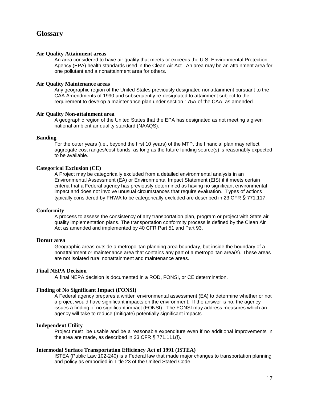#### **Glossary**

#### **Air Quality Attainment areas**

An area considered to have air quality that meets or exceeds the U.S. Environmental Protection Agency (EPA) health standards used in the Clean Air Act. An area may be an attainment area for one pollutant and a nonattainment area for others.

#### **Air Quality Maintenance areas**

Any geographic region of the United States previously designated nonattainment pursuant to the CAA Amendments of 1990 and subsequently re-designated to attainment subject to the requirement to develop a maintenance plan under section 175A of the CAA, as amended.

#### **Air Quality Non-attainment area**

A geographic region of the United States that the EPA has designated as not meeting a given national ambient air quality standard (NAAQS).

#### **Banding**

For the outer years (i.e., beyond the first 10 years) of the MTP, the financial plan may reflect aggregate cost ranges/cost bands, as long as the future funding source(s) is reasonably expected to be available.

#### **Categorical Exclusion (CE)**

A Project may be categorically excluded from a detailed environmental analysis in an Environmental Assessment (EA) or Environmental Impact Statement (EIS) if it meets certain criteria that a Federal agency has previously determined as having no significant environmental impact and does not involve unusual circumstances that require evaluation. Types of actions typically considered by FHWA to be categorically excluded are described in 23 CFR § 771.117.

#### **Conformity**

A process to assess the consistency of any transportation plan, program or project with State air quality implementation plans. The transportation conformity process is defined by the Clean Air Act as amended and implemented by 40 CFR Part 51 and Part 93.

#### **Donut area**

Geographic areas outside a metropolitan planning area boundary, but inside the boundary of a nonattainment or maintenance area that contains any part of a metropolitan area(s). These areas are not isolated rural nonattainment and maintenance areas.

#### **Final NEPA Decision**

A final NEPA decision is documented in a ROD, FONSI, or CE determination.

#### **Finding of No Significant Impact (FONSI)**

A Federal agency prepares a written environmental assessment (EA) to determine whether or not a project would have significant impacts on the environment. If the answer is no, the agency issues a finding of no significant impact (FONSI). The FONSI may address measures which an agency will take to reduce (mitigate) potentially significant impacts.

#### **Independent Utility**

Project must be usable and be a reasonable expenditure even if no additional improvements in the area are made, as described in 23 CFR § 771.111(f).

#### **Intermodal Surface Transportation Efficiency Act of 1991 (ISTEA)**

ISTEA (Public Law 102-240) is a Federal law that made major changes to transportation planning and policy as embodied in Title 23 of the United Stated Code.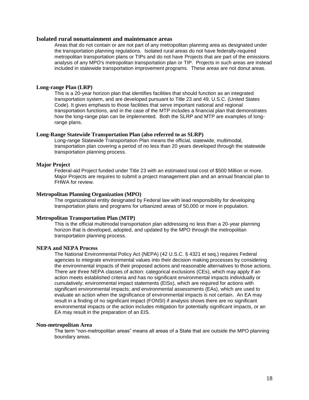#### **Isolated rural nonattainment and maintenance areas**

Areas that do not contain or are not part of any metropolitan planning area as designated under the transportation planning regulations. Isolated rural areas do not have federally-required metropolitan transportation plans or TIPs and do not have Projects that are part of the emissions analysis of any MPO's metropolitan transportation plan or TIP. Projects in such areas are instead included in statewide transportation improvement programs. These areas are not donut areas.

#### **Long-range Plan (LRP)**

This is a 20-year horizon plan that identifies facilities that should function as an integrated transportation system, and are developed pursuant to Title 23 and 49, U.S.C. (United States Code). It gives emphasis to those facilities that serve important national and regional transportation functions, and in the case of the MTP includes a financial plan that demonstrates how the long-range plan can be implemented. Both the SLRP and MTP are examples of longrange plans.

#### **Long-Range Statewide Transportation Plan (also referred to as SLRP)**

Long-range Statewide Transportation Plan means the official, statewide, multimodal, transportation plan covering a period of no less than 20 years developed through the statewide transportation planning process.

#### **Major Project**

Federal-aid Project funded under Title 23 with an estimated total cost of \$500 Million or more. Major Projects are requires to submit a project management plan and an annual financial plan to FHWA for review.

#### **Metropolitan Planning Organization (MPO)**

The organizational entity designated by Federal law with lead responsibility for developing transportation plans and programs for urbanized areas of 50,000 or more in population.

#### **Metropolitan Transportation Plan (MTP)**

This is the official multimodal transportation plan addressing no less than a 20-year planning horizon that is developed, adopted, and updated by the MPO through the metropolitan transportation planning process.

#### **NEPA and NEPA Process**

The National Environmental Policy Act (NEPA) (42 U.S.C. § 4321 et seq.) requires Federal agencies to integrate environmental values into their decision making processes by considering the environmental impacts of their proposed actions and reasonable alternatives to those actions. There are three NEPA classes of action: categorical exclusions (CEs), which may apply if an action meets established criteria and has no significant environmental impacts individually or cumulatively; environmental impact statements (EISs), which are required for actions with significant environmental impacts; and environmental assessments (EAs), which are used to evaluate an action when the significance of environmental impacts is not certain. An EA may result in a finding of no significant impact (FONSI) if analysis shows there are no significant environmental impacts or the action includes mitigation for potentially significant impacts, or an EA may result in the preparation of an EIS.

#### **Non-metropolitan Area**

The term "non-metropolitan areas" means all areas of a State that are outside the MPO planning boundary areas.